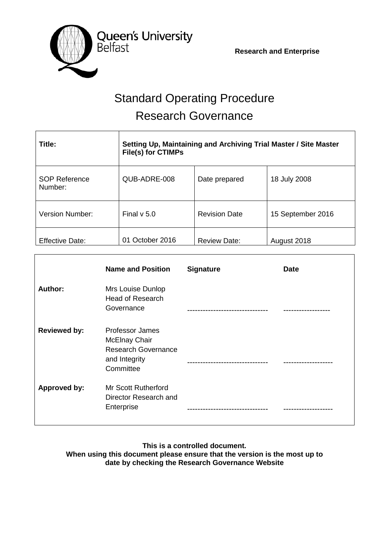**Research and Enterprise**



# Standard Operating Procedure Research Governance

| Title:                          | Setting Up, Maintaining and Archiving Trial Master / Site Master<br>File(s) for CTIMPs |                      |                   |
|---------------------------------|----------------------------------------------------------------------------------------|----------------------|-------------------|
| <b>SOP Reference</b><br>Number: | QUB-ADRE-008                                                                           | Date prepared        | 18 July 2008      |
| Version Number:                 | Final $v$ 5.0                                                                          | <b>Revision Date</b> | 15 September 2016 |
| <b>Effective Date:</b>          | 01 October 2016                                                                        | <b>Review Date:</b>  | August 2018       |

|                     | <b>Name and Position</b>                                                                                   | <b>Signature</b> | <b>Date</b> |
|---------------------|------------------------------------------------------------------------------------------------------------|------------------|-------------|
| Author:             | Mrs Louise Dunlop<br><b>Head of Research</b><br>Governance                                                 |                  |             |
| <b>Reviewed by:</b> | <b>Professor James</b><br><b>McElnay Chair</b><br><b>Research Governance</b><br>and Integrity<br>Committee |                  |             |
| Approved by:        | <b>Mr Scott Rutherford</b><br>Director Research and<br>Enterprise                                          |                  |             |

**This is a controlled document. When using this document please ensure that the version is the most up to date by checking the Research Governance Website**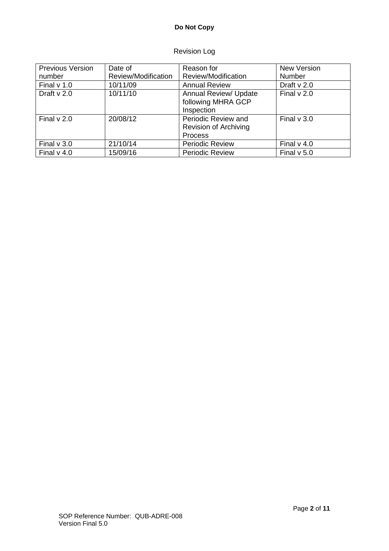# **Do Not Copy**

# Revision Log

| <b>Previous Version</b> | Date of             | Reason for                                                       | <b>New Version</b> |
|-------------------------|---------------------|------------------------------------------------------------------|--------------------|
| number                  | Review/Modification | Review/Modification                                              | <b>Number</b>      |
| Final $v$ 1.0           | 10/11/09            | <b>Annual Review</b>                                             | Draft $v$ 2.0      |
| Draft $v$ 2.0           | 10/11/10            | <b>Annual Review/ Update</b><br>following MHRA GCP<br>Inspection | Final $v$ 2.0      |
| Final $v$ 2.0           | 20/08/12            | Periodic Review and<br><b>Revision of Archiving</b><br>Process   | Final $v$ 3.0      |
| Final $v$ 3.0           | 21/10/14            | <b>Periodic Review</b>                                           | Final $v$ 4.0      |
| Final $v$ 4.0           | 15/09/16            | <b>Periodic Review</b>                                           | Final $v$ 5.0      |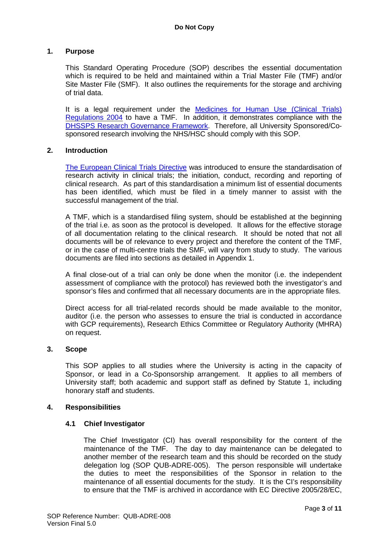## **1. Purpose**

This Standard Operating Procedure (SOP) describes the essential documentation which is required to be held and maintained within a Trial Master File (TMF) and/or Site Master File (SMF). It also outlines the requirements for the storage and archiving of trial data.

It is a legal requirement under the **Medicines for Human Use (Clinical Trials)** [Regulations 2004](http://www.opsi.gov.uk/si/si2004/20041031.htm) to have a TMF. In addition, it demonstrates compliance with the [DHSSPS Research Governance Framework.](http://www.dhsspsni.gov.uk/research_governance_framework.pdf) Therefore, all University Sponsored/Cosponsored research involving the NHS/HSC should comply with this SOP.

#### **2. Introduction**

[The European Clinical Trials Directive](http://ec.europa.eu/health/human-use/clinical-trials/index_en.htm) was introduced to ensure the standardisation of research activity in clinical trials; the initiation, conduct, recording and reporting of clinical research. As part of this standardisation a minimum list of essential documents has been identified, which must be filed in a timely manner to assist with the successful management of the trial.

A TMF, which is a standardised filing system, should be established at the beginning of the trial i.e. as soon as the protocol is developed. It allows for the effective storage of all documentation relating to the clinical research. It should be noted that not all documents will be of relevance to every project and therefore the content of the TMF, or in the case of multi-centre trials the SMF, will vary from study to study. The various documents are filed into sections as detailed in Appendix 1.

A final close-out of a trial can only be done when the monitor (i.e. the independent assessment of compliance with the protocol) has reviewed both the investigator's and sponsor's files and confirmed that all necessary documents are in the appropriate files.

Direct access for all trial-related records should be made available to the monitor, auditor (i.e. the person who assesses to ensure the trial is conducted in accordance with GCP requirements), Research Ethics Committee or Regulatory Authority (MHRA) on request.

#### **3. Scope**

This SOP applies to all studies where the University is acting in the capacity of Sponsor, or lead in a Co-Sponsorship arrangement. It applies to all members of University staff; both academic and support staff as defined by Statute 1, including honorary staff and students.

#### **4. Responsibilities**

#### **4.1 Chief Investigator**

The Chief Investigator (CI) has overall responsibility for the content of the maintenance of the TMF. The day to day maintenance can be delegated to another member of the research team and this should be recorded on the study delegation log (SOP QUB-ADRE-005). The person responsible will undertake the duties to meet the responsibilities of the Sponsor in relation to the maintenance of all essential documents for the study. It is the CI's responsibility to ensure that the TMF is archived in accordance with EC Directive 2005/28/EC,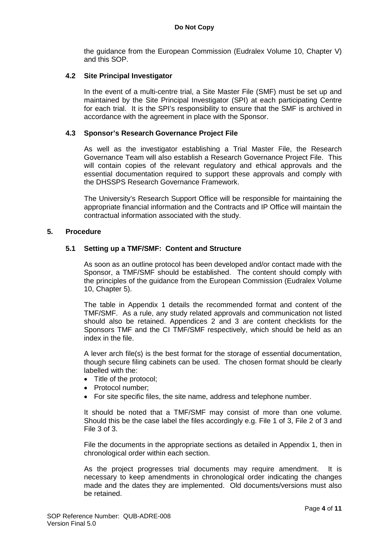the guidance from the European Commission (Eudralex Volume 10, Chapter V) and this SOP.

## **4.2 Site Principal Investigator**

In the event of a multi-centre trial, a Site Master File (SMF) must be set up and maintained by the Site Principal Investigator (SPI) at each participating Centre for each trial. It is the SPI's responsibility to ensure that the SMF is archived in accordance with the agreement in place with the Sponsor.

#### **4.3 Sponsor's Research Governance Project File**

As well as the investigator establishing a Trial Master File, the Research Governance Team will also establish a Research Governance Project File. This will contain copies of the relevant regulatory and ethical approvals and the essential documentation required to support these approvals and comply with the DHSSPS Research Governance Framework.

The University's Research Support Office will be responsible for maintaining the appropriate financial information and the Contracts and IP Office will maintain the contractual information associated with the study.

#### **5. Procedure**

#### **5.1 Setting up a TMF/SMF: Content and Structure**

As soon as an outline protocol has been developed and/or contact made with the Sponsor, a TMF/SMF should be established. The content should comply with the principles of the guidance from the European Commission (Eudralex Volume 10, Chapter 5).

The table in Appendix 1 details the recommended format and content of the TMF/SMF. As a rule, any study related approvals and communication not listed should also be retained. Appendices 2 and 3 are content checklists for the Sponsors TMF and the CI TMF/SMF respectively, which should be held as an index in the file.

A lever arch file(s) is the best format for the storage of essential documentation, though secure filing cabinets can be used. The chosen format should be clearly labelled with the:

- Title of the protocol;
- Protocol number;
- For site specific files, the site name, address and telephone number.

It should be noted that a TMF/SMF may consist of more than one volume. Should this be the case label the files accordingly e.g. File 1 of 3, File 2 of 3 and File 3 of 3.

File the documents in the appropriate sections as detailed in Appendix 1, then in chronological order within each section.

As the project progresses trial documents may require amendment. It is necessary to keep amendments in chronological order indicating the changes made and the dates they are implemented. Old documents/versions must also be retained.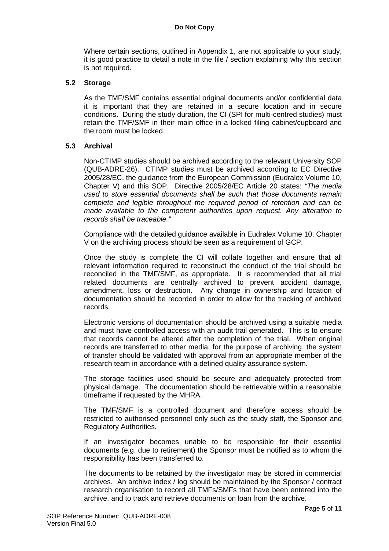Where certain sections, outlined in Appendix 1, are not applicable to your study, it is good practice to detail a note in the file / section explaining why this section is not required.

# **5.2 Storage**

As the TMF/SMF contains essential original documents and/or confidential data it is important that they are retained in a secure location and in secure conditions. During the study duration, the CI (SPI for multi-centred studies) must retain the TMF/SMF in their main office in a locked filing cabinet/cupboard and the room must be locked.

# **5.3 Archival**

Non-CTIMP studies should be archived according to the relevant University SOP (QUB-ADRE-26). CTIMP studies must be archived according to EC Directive 2005/28/EC, the guidance from the European Commission (Eudralex Volume 10, Chapter V) and this SOP. Directive 2005/28/EC Article 20 states: *"The media used to store essential documents shall be such that those documents remain complete and legible throughout the required period of retention and can be made available to the competent authorities upon request. Any alteration to records shall be traceable."*

Compliance with the detailed guidance available in Eudralex Volume 10, Chapter V on the archiving process should be seen as a requirement of GCP.

Once the study is complete the CI will collate together and ensure that all relevant information required to reconstruct the conduct of the trial should be reconciled in the TMF/SMF, as appropriate. It is recommended that all trial related documents are centrally archived to prevent accident damage, amendment, loss or destruction. Any change in ownership and location of documentation should be recorded in order to allow for the tracking of archived records.

Electronic versions of documentation should be archived using a suitable media and must have controlled access with an audit trail generated. This is to ensure that records cannot be altered after the completion of the trial. When original records are transferred to other media, for the purpose of archiving, the system of transfer should be validated with approval from an appropriate member of the research team in accordance with a defined quality assurance system.

The storage facilities used should be secure and adequately protected from physical damage. The documentation should be retrievable within a reasonable timeframe if requested by the MHRA.

The TMF/SMF is a controlled document and therefore access should be restricted to authorised personnel only such as the study staff, the Sponsor and Regulatory Authorities.

If an investigator becomes unable to be responsible for their essential documents (e.g. due to retirement) the Sponsor must be notified as to whom the responsibility has been transferred to.

The documents to be retained by the investigator may be stored in commercial archives. An archive index / log should be maintained by the Sponsor / contract research organisation to record all TMFs/SMFs that have been entered into the archive, and to track and retrieve documents on loan from the archive.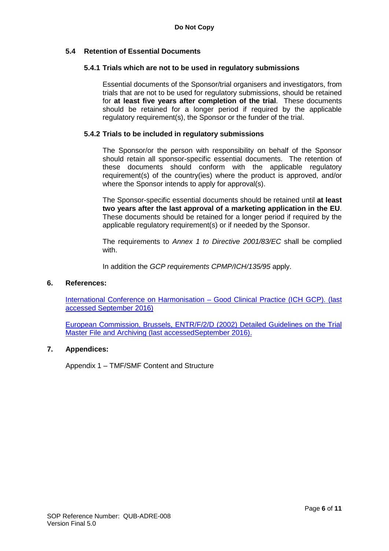# **5.4 Retention of Essential Documents**

#### **5.4.1 Trials which are not to be used in regulatory submissions**

Essential documents of the Sponsor/trial organisers and investigators, from trials that are not to be used for regulatory submissions, should be retained for **at least five years after completion of the trial**. These documents should be retained for a longer period if required by the applicable regulatory requirement(s), the Sponsor or the funder of the trial.

#### **5.4.2 Trials to be included in regulatory submissions**

The Sponsor/or the person with responsibility on behalf of the Sponsor should retain all sponsor-specific essential documents. The retention of these documents should conform with the applicable regulatory requirement(s) of the country(ies) where the product is approved, and/or where the Sponsor intends to apply for approval(s).

The Sponsor-specific essential documents should be retained until **at least two years after the last approval of a marketing application in the EU**. These documents should be retained for a longer period if required by the applicable regulatory requirement(s) or if needed by the Sponsor.

The requirements to *Annex 1 to Directive 2001/83/EC* shall be complied with.

In addition the *GCP requirements CPMP/ICH/135/95* apply.

#### **6. References:**

[International Conference on Harmonisation –](http://www.ich.org/products/guidelines/efficacy/efficacy-single/article/good-clinical-practice.html) Good Clinical Practice (ICH GCP). (last [accessed September](http://www.ich.org/products/guidelines/efficacy/efficacy-single/article/good-clinical-practice.html) 2016)

[European Commission, Brussels, ENTR/F/2/D \(2002\)](http://ec.europa.eu/health/files/eudralex/vol-10/v10_chap5_en.pdf) Detailed Guidelines on the Trial [Master File and Archiving \(last accessedSeptember 2016\).](http://ec.europa.eu/health/files/eudralex/vol-10/v10_chap5_en.pdf)

# **7. Appendices:**

Appendix 1 – TMF/SMF Content and Structure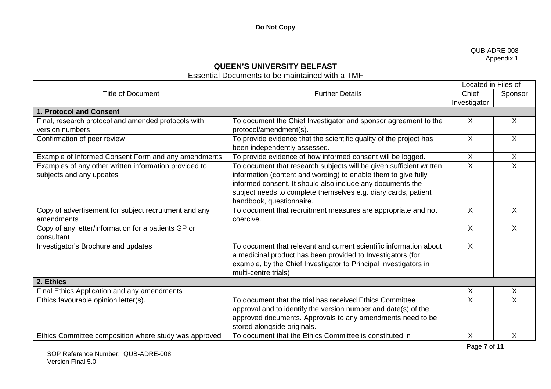#### QUB-ADRE-008 Appendix 1

# **QUEEN'S UNIVERSITY BELFAST**

# Essential Documents to be maintained with a TMF

|                                                       |                                                                     | Located in Files of |                         |
|-------------------------------------------------------|---------------------------------------------------------------------|---------------------|-------------------------|
| <b>Title of Document</b>                              | <b>Further Details</b>                                              | Chief               | Sponsor                 |
|                                                       |                                                                     | Investigator        |                         |
| 1. Protocol and Consent                               |                                                                     |                     |                         |
| Final, research protocol and amended protocols with   | To document the Chief Investigator and sponsor agreement to the     | X                   | X                       |
| version numbers                                       | protocol/amendment(s).                                              |                     |                         |
| Confirmation of peer review                           | To provide evidence that the scientific quality of the project has  | $\mathsf{X}$        | $\overline{X}$          |
|                                                       | been independently assessed.                                        |                     |                         |
| Example of Informed Consent Form and any amendments   | To provide evidence of how informed consent will be logged.         | X.                  | X                       |
| Examples of any other written information provided to | To document that research subjects will be given sufficient written | X                   | $\overline{\mathsf{X}}$ |
| subjects and any updates                              | information (content and wording) to enable them to give fully      |                     |                         |
|                                                       | informed consent. It should also include any documents the          |                     |                         |
|                                                       | subject needs to complete themselves e.g. diary cards, patient      |                     |                         |
|                                                       | handbook, questionnaire.                                            |                     |                         |
| Copy of advertisement for subject recruitment and any | To document that recruitment measures are appropriate and not       | X                   | X                       |
| amendments                                            | coercive.                                                           |                     |                         |
| Copy of any letter/information for a patients GP or   |                                                                     | X                   | X                       |
| consultant                                            |                                                                     |                     |                         |
| Investigator's Brochure and updates                   | To document that relevant and current scientific information about  | $\mathsf{X}$        |                         |
|                                                       | a medicinal product has been provided to Investigators (for         |                     |                         |
|                                                       | example, by the Chief Investigator to Principal Investigators in    |                     |                         |
|                                                       | multi-centre trials)                                                |                     |                         |
| 2. Ethics                                             |                                                                     |                     |                         |
| Final Ethics Application and any amendments           |                                                                     | X                   | X                       |
| Ethics favourable opinion letter(s).                  | To document that the trial has received Ethics Committee            | $\mathsf{X}$        | X                       |
|                                                       | approval and to identify the version number and date(s) of the      |                     |                         |
|                                                       | approved documents. Approvals to any amendments need to be          |                     |                         |
|                                                       | stored alongside originals.                                         |                     |                         |
| Ethics Committee composition where study was approved | To document that the Ethics Committee is constituted in             | $\sf X$             | X                       |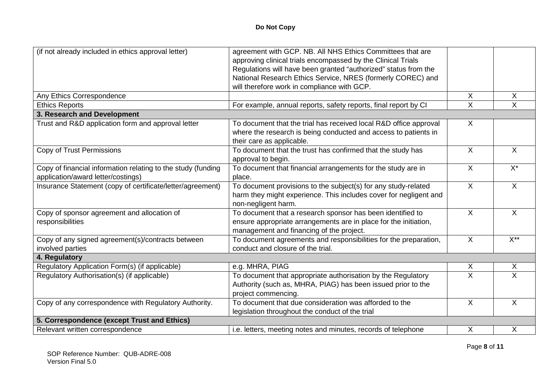| (if not already included in ethics approval letter)                                                | agreement with GCP. NB. All NHS Ethics Committees that are<br>approving clinical trials encompassed by the Clinical Trials<br>Regulations will have been granted "authorized" status from the<br>National Research Ethics Service, NRES (formerly COREC) and<br>will therefore work in compliance with GCP. |                         |                           |
|----------------------------------------------------------------------------------------------------|-------------------------------------------------------------------------------------------------------------------------------------------------------------------------------------------------------------------------------------------------------------------------------------------------------------|-------------------------|---------------------------|
| Any Ethics Correspondence                                                                          |                                                                                                                                                                                                                                                                                                             | $\mathsf{X}$            | X                         |
| <b>Ethics Reports</b>                                                                              | For example, annual reports, safety reports, final report by CI                                                                                                                                                                                                                                             | $\overline{X}$          | $\mathsf{X}$              |
| 3. Research and Development                                                                        |                                                                                                                                                                                                                                                                                                             |                         |                           |
| Trust and R&D application form and approval letter                                                 | To document that the trial has received local R&D office approval<br>where the research is being conducted and access to patients in<br>their care as applicable.                                                                                                                                           | $\mathsf{X}$            |                           |
| Copy of Trust Permissions                                                                          | To document that the trust has confirmed that the study has<br>approval to begin.                                                                                                                                                                                                                           | $\overline{X}$          | $\sf X$                   |
| Copy of financial information relating to the study (funding<br>application/award letter/costings) | To document that financial arrangements for the study are in<br>place.                                                                                                                                                                                                                                      | $\mathsf{X}$            | $X^*$                     |
| Insurance Statement (copy of certificate/letter/agreement)                                         | To document provisions to the subject(s) for any study-related<br>harm they might experience. This includes cover for negligent and<br>non-negligent harm.                                                                                                                                                  | X                       | $\boldsymbol{\mathsf{X}}$ |
| Copy of sponsor agreement and allocation of<br>responsibilities                                    | To document that a research sponsor has been identified to<br>ensure appropriate arrangements are in place for the initiation,<br>management and financing of the project.                                                                                                                                  | $\overline{X}$          | $\overline{X}$            |
| Copy of any signed agreement(s)/contracts between<br>involved parties                              | To document agreements and responsibilities for the preparation,<br>conduct and closure of the trial.                                                                                                                                                                                                       | $\overline{X}$          | $X^{\ast\ast}$            |
| 4. Regulatory                                                                                      |                                                                                                                                                                                                                                                                                                             |                         |                           |
| Regulatory Application Form(s) (if applicable)                                                     | e.g. MHRA, PIAG                                                                                                                                                                                                                                                                                             | X                       | $\boldsymbol{\mathsf{X}}$ |
| Regulatory Authorisation(s) (if applicable)                                                        | To document that appropriate authorisation by the Regulatory<br>Authority (such as, MHRA, PIAG) has been issued prior to the<br>project commencing.                                                                                                                                                         | $\overline{\mathsf{x}}$ | $\overline{\mathsf{x}}$   |
| Copy of any correspondence with Regulatory Authority.                                              | To document that due consideration was afforded to the<br>legislation throughout the conduct of the trial                                                                                                                                                                                                   | $\mathsf{X}$            | $\sf X$                   |
| 5. Correspondence (except Trust and Ethics)                                                        |                                                                                                                                                                                                                                                                                                             |                         |                           |
| Relevant written correspondence                                                                    | i.e. letters, meeting notes and minutes, records of telephone                                                                                                                                                                                                                                               | X.                      | X                         |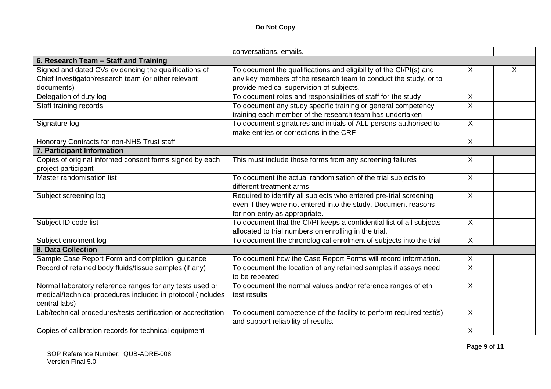|                                                               | conversations, emails.                                               |                         |   |
|---------------------------------------------------------------|----------------------------------------------------------------------|-------------------------|---|
| 6. Research Team - Staff and Training                         |                                                                      |                         |   |
| Signed and dated CVs evidencing the qualifications of         | To document the qualifications and eligibility of the CI/PI(s) and   | X.                      | X |
|                                                               |                                                                      |                         |   |
| Chief Investigator/research team (or other relevant           | any key members of the research team to conduct the study, or to     |                         |   |
| documents)                                                    | provide medical supervision of subjects.                             |                         |   |
| Delegation of duty log                                        | To document roles and responsibilities of staff for the study        | $\mathsf{X}$            |   |
| Staff training records                                        | To document any study specific training or general competency        | $\overline{\mathsf{x}}$ |   |
|                                                               | training each member of the research team has undertaken             |                         |   |
| Signature log                                                 | To document signatures and initials of ALL persons authorised to     | $\overline{X}$          |   |
|                                                               | make entries or corrections in the CRF                               |                         |   |
| Honorary Contracts for non-NHS Trust staff                    |                                                                      | $\mathsf{X}$            |   |
| 7. Participant Information                                    |                                                                      |                         |   |
| Copies of original informed consent forms signed by each      | This must include those forms from any screening failures            | X                       |   |
| project participant                                           |                                                                      |                         |   |
| Master randomisation list                                     | To document the actual randomisation of the trial subjects to        | $\sf X$                 |   |
|                                                               | different treatment arms                                             |                         |   |
| Subject screening log                                         | Required to identify all subjects who entered pre-trial screening    | $\overline{X}$          |   |
|                                                               | even if they were not entered into the study. Document reasons       |                         |   |
|                                                               | for non-entry as appropriate.                                        |                         |   |
| Subject ID code list                                          | To document that the CI/PI keeps a confidential list of all subjects | $\overline{X}$          |   |
|                                                               | allocated to trial numbers on enrolling in the trial.                |                         |   |
| Subject enrolment log                                         | To document the chronological enrolment of subjects into the trial   | $\mathsf{X}$            |   |
| <b>8. Data Collection</b>                                     |                                                                      |                         |   |
| Sample Case Report Form and completion guidance               | To document how the Case Report Forms will record information.       | X                       |   |
| Record of retained body fluids/tissue samples (if any)        | To document the location of any retained samples if assays need      | $\overline{X}$          |   |
|                                                               | to be repeated                                                       |                         |   |
| Normal laboratory reference ranges for any tests used or      | To document the normal values and/or reference ranges of eth         | $\mathsf{X}$            |   |
| medical/technical procedures included in protocol (includes   | test results                                                         |                         |   |
| central labs)                                                 |                                                                      |                         |   |
| Lab/technical procedures/tests certification or accreditation | To document competence of the facility to perform required test(s)   | $\mathsf{X}$            |   |
|                                                               | and support reliability of results.                                  |                         |   |
| Copies of calibration records for technical equipment         |                                                                      | $\sf X$                 |   |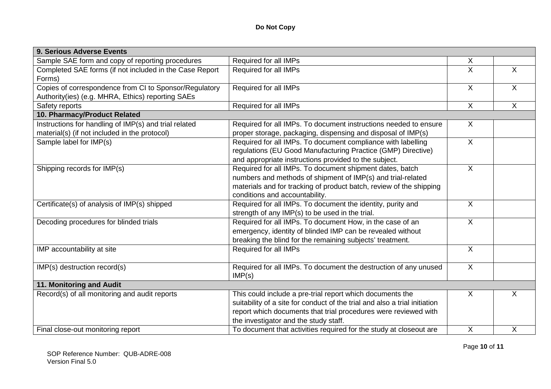| 9. Serious Adverse Events                               |                                                                            |                |                |
|---------------------------------------------------------|----------------------------------------------------------------------------|----------------|----------------|
| Sample SAE form and copy of reporting procedures        | Required for all IMPs                                                      | X              |                |
| Completed SAE forms (if not included in the Case Report | Required for all IMPs                                                      | $\sf X$        | $\mathsf{X}$   |
| Forms)                                                  |                                                                            |                |                |
| Copies of correspondence from CI to Sponsor/Regulatory  | Required for all IMPs                                                      | $\overline{X}$ | $\overline{X}$ |
| Authority(ies) (e.g. MHRA, Ethics) reporting SAEs       |                                                                            |                |                |
| Safety reports                                          | Required for all IMPs                                                      | $\mathsf{X}$   | $\mathsf{X}$   |
| 10. Pharmacy/Product Related                            |                                                                            |                |                |
| Instructions for handling of IMP(s) and trial related   | Required for all IMPs. To document instructions needed to ensure           | $\sf X$        |                |
| material(s) (if not included in the protocol)           | proper storage, packaging, dispensing and disposal of IMP(s)               |                |                |
| Sample label for IMP(s)                                 | Required for all IMPs. To document compliance with labelling               | $\overline{X}$ |                |
|                                                         | regulations (EU Good Manufacturing Practice (GMP) Directive)               |                |                |
|                                                         | and appropriate instructions provided to the subject.                      |                |                |
| Shipping records for IMP(s)                             | Required for all IMPs. To document shipment dates, batch                   | $\overline{X}$ |                |
|                                                         | numbers and methods of shipment of IMP(s) and trial-related                |                |                |
|                                                         | materials and for tracking of product batch, review of the shipping        |                |                |
|                                                         | conditions and accountability.                                             |                |                |
| Certificate(s) of analysis of IMP(s) shipped            | Required for all IMPs. To document the identity, purity and                | $\overline{X}$ |                |
|                                                         | strength of any IMP(s) to be used in the trial.                            |                |                |
| Decoding procedures for blinded trials                  | Required for all IMPs. To document How, in the case of an                  | $\overline{X}$ |                |
|                                                         | emergency, identity of blinded IMP can be revealed without                 |                |                |
|                                                         | breaking the blind for the remaining subjects' treatment.                  |                |                |
| IMP accountability at site                              | Required for all IMPs                                                      | $\overline{X}$ |                |
| IMP(s) destruction record(s)                            | Required for all IMPs. To document the destruction of any unused           | $\sf X$        |                |
|                                                         | IMP(s)                                                                     |                |                |
| 11. Monitoring and Audit                                |                                                                            |                |                |
| Record(s) of all monitoring and audit reports           | This could include a pre-trial report which documents the                  | X              | X              |
|                                                         | suitability of a site for conduct of the trial and also a trial initiation |                |                |
|                                                         | report which documents that trial procedures were reviewed with            |                |                |
|                                                         | the investigator and the study staff.                                      |                |                |
| Final close-out monitoring report                       | To document that activities required for the study at closeout are         | $\sf X$        | $\mathsf{X}$   |